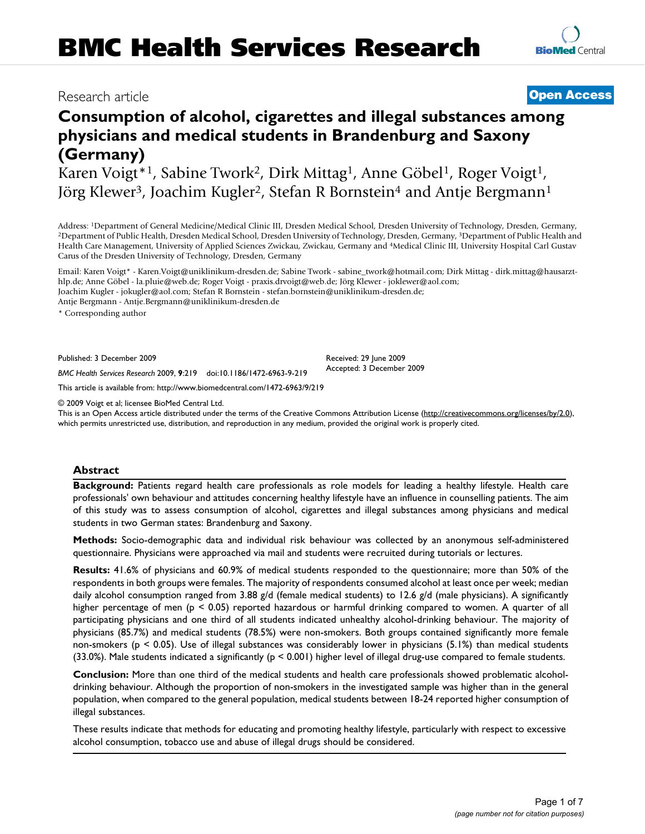# Research article **[Open Access](http://www.biomedcentral.com/info/about/charter/)**

# **Consumption of alcohol, cigarettes and illegal substances among physicians and medical students in Brandenburg and Saxony (Germany)**

Karen Voigt\*<sup>1</sup>, Sabine Twork<sup>2</sup>, Dirk Mittag<sup>1</sup>, Anne Göbel<sup>1</sup>, Roger Voigt<sup>1</sup>, Jörg Klewer<sup>3</sup>, Joachim Kugler<sup>2</sup>, Stefan R Bornstein<sup>4</sup> and Antje Bergmann<sup>1</sup>

Address: <sup>1</sup>Department of General Medicine/Medical Clinic III, Dresden Medical School, Dresden University of Technology, Dresden, Germany,<br><sup>2</sup>Department of Public Health, Dresden Medical School, Dresden University of Techn Health Care Management, University of Applied Sciences Zwickau, Zwickau, Germany and 4Medical Clinic III, University Hospital Carl Gustav Carus of the Dresden University of Technology, Dresden, Germany

Email: Karen Voigt\* - Karen.Voigt@uniklinikum-dresden.de; Sabine Twork - sabine\_twork@hotmail.com; Dirk Mittag - dirk.mittag@hausarzthlp.de; Anne Göbel - la.pluie@web.de; Roger Voigt - praxis.drvoigt@web.de; Jörg Klewer - joklewer@aol.com; Joachim Kugler - jokugler@aol.com; Stefan R Bornstein - stefan.bornstein@uniklinikum-dresden.de; Antje Bergmann - Antje.Bergmann@uniklinikum-dresden.de

\* Corresponding author

Published: 3 December 2009

*BMC Health Services Research* 2009, **9**:219 doi:10.1186/1472-6963-9-219

[This article is available from: http://www.biomedcentral.com/1472-6963/9/219](http://www.biomedcentral.com/1472-6963/9/219)

© 2009 Voigt et al; licensee BioMed Central Ltd.

This is an Open Access article distributed under the terms of the Creative Commons Attribution License [\(http://creativecommons.org/licenses/by/2.0\)](http://creativecommons.org/licenses/by/2.0), which permits unrestricted use, distribution, and reproduction in any medium, provided the original work is properly cited.

# **Abstract**

**Background:** Patients regard health care professionals as role models for leading a healthy lifestyle. Health care professionals' own behaviour and attitudes concerning healthy lifestyle have an influence in counselling patients. The aim of this study was to assess consumption of alcohol, cigarettes and illegal substances among physicians and medical students in two German states: Brandenburg and Saxony.

**Methods:** Socio-demographic data and individual risk behaviour was collected by an anonymous self-administered questionnaire. Physicians were approached via mail and students were recruited during tutorials or lectures.

**Results:** 41.6% of physicians and 60.9% of medical students responded to the questionnaire; more than 50% of the respondents in both groups were females. The majority of respondents consumed alcohol at least once per week; median daily alcohol consumption ranged from 3.88 g/d (female medical students) to 12.6 g/d (male physicians). A significantly higher percentage of men (p < 0.05) reported hazardous or harmful drinking compared to women. A quarter of all participating physicians and one third of all students indicated unhealthy alcohol-drinking behaviour. The majority of physicians (85.7%) and medical students (78.5%) were non-smokers. Both groups contained significantly more female non-smokers ( $p < 0.05$ ). Use of illegal substances was considerably lower in physicians (5.1%) than medical students (33.0%). Male students indicated a significantly ( $p < 0.001$ ) higher level of illegal drug-use compared to female students.

**Conclusion:** More than one third of the medical students and health care professionals showed problematic alcoholdrinking behaviour. Although the proportion of non-smokers in the investigated sample was higher than in the general population, when compared to the general population, medical students between 18-24 reported higher consumption of illegal substances.

These results indicate that methods for educating and promoting healthy lifestyle, particularly with respect to excessive alcohol consumption, tobacco use and abuse of illegal drugs should be considered.

Received: 29 June 2009 Accepted: 3 December 2009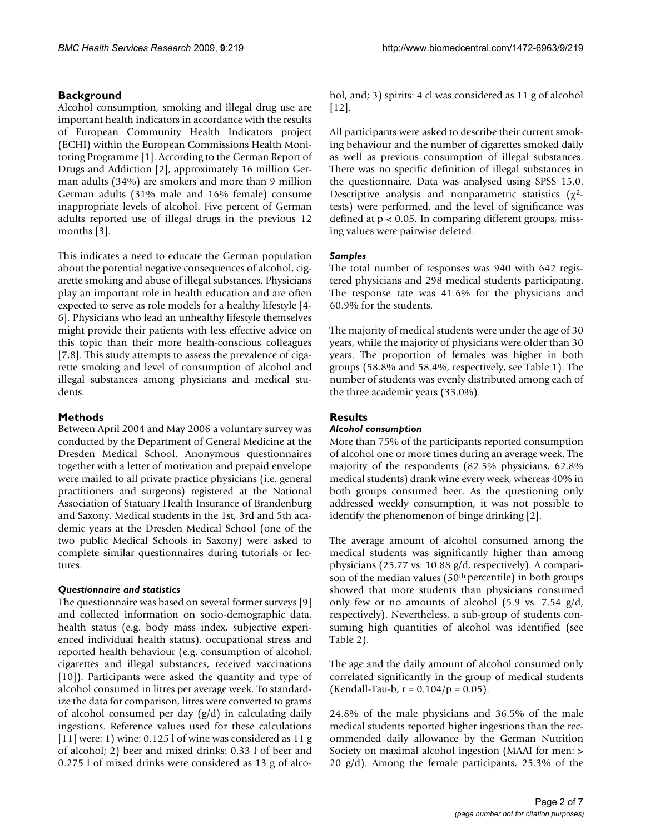# **Background**

Alcohol consumption, smoking and illegal drug use are important health indicators in accordance with the results of European Community Health Indicators project (ECHI) within the European Commissions Health Monitoring Programme [1]. According to the German Report of Drugs and Addiction [2], approximately 16 million German adults (34%) are smokers and more than 9 million German adults (31% male and 16% female) consume inappropriate levels of alcohol. Five percent of German adults reported use of illegal drugs in the previous 12 months [3].

This indicates a need to educate the German population about the potential negative consequences of alcohol, cigarette smoking and abuse of illegal substances. Physicians play an important role in health education and are often expected to serve as role models for a healthy lifestyle [4- 6]. Physicians who lead an unhealthy lifestyle themselves might provide their patients with less effective advice on this topic than their more health-conscious colleagues [7,8]. This study attempts to assess the prevalence of cigarette smoking and level of consumption of alcohol and illegal substances among physicians and medical students.

# **Methods**

Between April 2004 and May 2006 a voluntary survey was conducted by the Department of General Medicine at the Dresden Medical School. Anonymous questionnaires together with a letter of motivation and prepaid envelope were mailed to all private practice physicians (i.e. general practitioners and surgeons) registered at the National Association of Statuary Health Insurance of Brandenburg and Saxony. Medical students in the 1st, 3rd and 5th academic years at the Dresden Medical School (one of the two public Medical Schools in Saxony) were asked to complete similar questionnaires during tutorials or lectures.

# *Questionnaire and statistics*

The questionnaire was based on several former surveys [9] and collected information on socio-demographic data, health status (e.g. body mass index, subjective experienced individual health status), occupational stress and reported health behaviour (e.g. consumption of alcohol, cigarettes and illegal substances, received vaccinations [10]). Participants were asked the quantity and type of alcohol consumed in litres per average week. To standardize the data for comparison, litres were converted to grams of alcohol consumed per day (g/d) in calculating daily ingestions. Reference values used for these calculations [11] were: 1) wine: 0.125 l of wine was considered as 11 g of alcohol; 2) beer and mixed drinks: 0.33 l of beer and 0.275 l of mixed drinks were considered as 13 g of alcohol, and; 3) spirits: 4 cl was considered as 11 g of alcohol [12].

All participants were asked to describe their current smoking behaviour and the number of cigarettes smoked daily as well as previous consumption of illegal substances. There was no specific definition of illegal substances in the questionnaire. Data was analysed using SPSS 15.0. Descriptive analysis and nonparametric statistics  $(\chi^2 - \chi^2)$ tests) were performed, and the level of significance was defined at  $p < 0.05$ . In comparing different groups, missing values were pairwise deleted.

# *Samples*

The total number of responses was 940 with 642 registered physicians and 298 medical students participating. The response rate was 41.6% for the physicians and 60.9% for the students.

The majority of medical students were under the age of 30 years, while the majority of physicians were older than 30 years. The proportion of females was higher in both groups (58.8% and 58.4%, respectively, see Table 1). The number of students was evenly distributed among each of the three academic years (33.0%).

# **Results**

# *Alcohol consumption*

More than 75% of the participants reported consumption of alcohol one or more times during an average week. The majority of the respondents (82.5% physicians, 62.8% medical students) drank wine every week, whereas 40% in both groups consumed beer. As the questioning only addressed weekly consumption, it was not possible to identify the phenomenon of binge drinking [2].

The average amount of alcohol consumed among the medical students was significantly higher than among physicians (25.77 vs. 10.88 g/d, respectively). A comparison of the median values  $(50<sup>th</sup>$  percentile) in both groups showed that more students than physicians consumed only few or no amounts of alcohol (5.9 vs. 7.54 g/d, respectively). Nevertheless, a sub-group of students consuming high quantities of alcohol was identified (see Table 2).

The age and the daily amount of alcohol consumed only correlated significantly in the group of medical students (Kendall-Tau-b,  $r = 0.104/p = 0.05$ ).

24.8% of the male physicians and 36.5% of the male medical students reported higher ingestions than the recommended daily allowance by the German Nutrition Society on maximal alcohol ingestion (MAAI for men: > 20 g/d). Among the female participants, 25.3% of the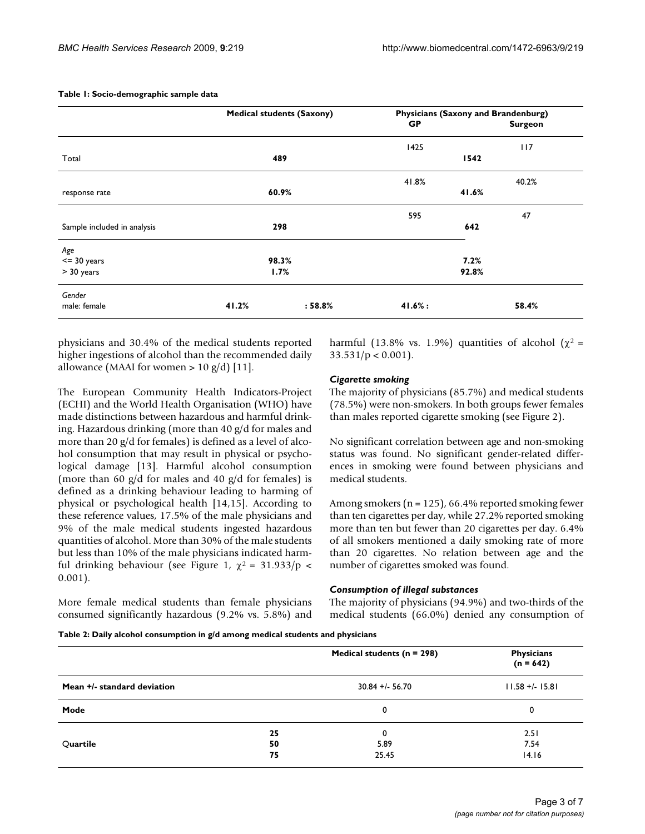|                             | <b>Medical students (Saxony)</b> |            | <b>Physicians (Saxony and Brandenburg)</b> |                |
|-----------------------------|----------------------------------|------------|--------------------------------------------|----------------|
|                             |                                  |            | GP                                         | <b>Surgeon</b> |
|                             |                                  |            | 1425                                       | 117            |
| Total                       | 489                              |            | 1542                                       |                |
|                             |                                  |            | 41.8%                                      | 40.2%          |
| response rate               | 60.9%                            |            | 41.6%                                      |                |
|                             |                                  |            | 595                                        | 47             |
| Sample included in analysis | 298                              |            | 642                                        |                |
| Age                         |                                  |            |                                            |                |
| $<=$ 30 years               | 98.3%                            |            | 7.2%                                       |                |
| > 30 years                  | 1.7%                             |            | 92.8%                                      |                |
| Gender                      |                                  |            |                                            |                |
| male: female                | 41.2%                            | $: 58.8\%$ | 41.6%:                                     | 58.4%          |

#### **Table 1: Socio-demographic sample data**

physicians and 30.4% of the medical students reported higher ingestions of alcohol than the recommended daily allowance (MAAI for women  $> 10$  g/d) [11].

The European Community Health Indicators-Project (ECHI) and the World Health Organisation (WHO) have made distinctions between hazardous and harmful drinking. Hazardous drinking (more than 40 g/d for males and more than 20 g/d for females) is defined as a level of alcohol consumption that may result in physical or psychological damage [13]. Harmful alcohol consumption (more than 60  $g/d$  for males and 40  $g/d$  for females) is defined as a drinking behaviour leading to harming of physical or psychological health [14,15]. According to these reference values, 17.5% of the male physicians and 9% of the male medical students ingested hazardous quantities of alcohol. More than 30% of the male students but less than 10% of the male physicians indicated harmful drinking behaviour (see Figure 1,  $\chi^2$  = 31.933/p < 0.001).

More female medical students than female physicians consumed significantly hazardous (9.2% vs. 5.8%) and harmful (13.8% vs. 1.9%) quantities of alcohol ( $\chi^2$  =  $33.531/p < 0.001$ ).

#### *Cigarette smoking*

The majority of physicians (85.7%) and medical students (78.5%) were non-smokers. In both groups fewer females than males reported cigarette smoking (see Figure 2).

No significant correlation between age and non-smoking status was found. No significant gender-related differences in smoking were found between physicians and medical students.

Among smokers (n = 125), 66.4% reported smoking fewer than ten cigarettes per day, while 27.2% reported smoking more than ten but fewer than 20 cigarettes per day. 6.4% of all smokers mentioned a daily smoking rate of more than 20 cigarettes. No relation between age and the number of cigarettes smoked was found.

#### *Consumption of illegal substances*

The majority of physicians (94.9%) and two-thirds of the medical students (66.0%) denied any consumption of

|  |  |  | Table 2: Daily alcohol consumption in g/d among medical students and physicians |
|--|--|--|---------------------------------------------------------------------------------|
|--|--|--|---------------------------------------------------------------------------------|

|                             |    | Medical students ( $n = 298$ ) | <b>Physicians</b><br>$(n = 642)$ |
|-----------------------------|----|--------------------------------|----------------------------------|
| Mean +/- standard deviation |    | $30.84 + 56.70$                | $11.58 + (-15.8)$                |
| Mode                        |    | 0                              | 0                                |
|                             | 25 | 0                              | 2.51                             |
| Quartile                    | 50 | 5.89                           | 7.54                             |
|                             | 75 | 25.45                          | 14.16                            |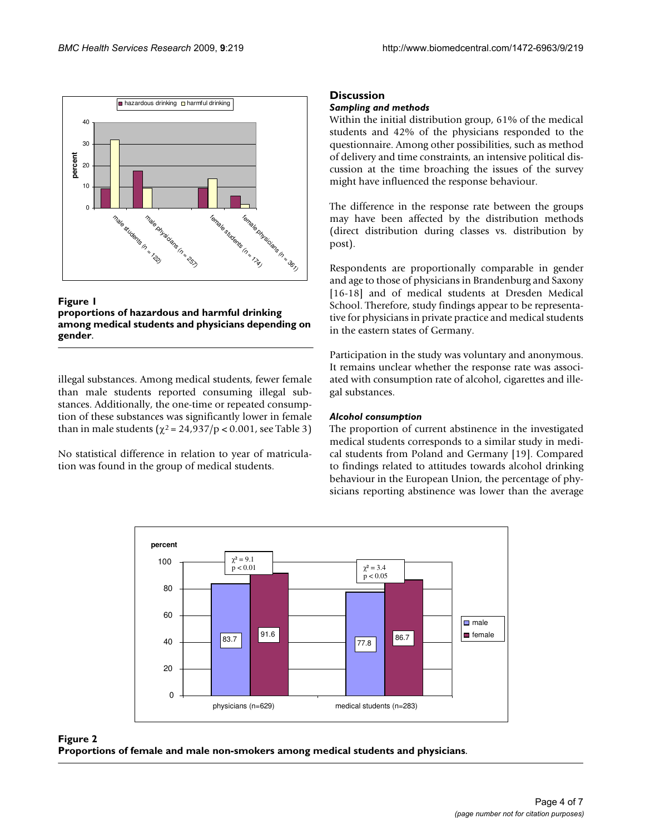

**Figure 1 proportions of hazardous and harmful drinking among medical students and physicians depending on gender**.

illegal substances. Among medical students, fewer female than male students reported consuming illegal substances. Additionally, the one-time or repeated consumption of these substances was significantly lower in female than in male students ( $\chi^2$  = 24,937/p < 0.001, see Table 3)

No statistical difference in relation to year of matriculation was found in the group of medical students.

# **Discussion**

# *Sampling and methods*

Within the initial distribution group, 61% of the medical students and 42% of the physicians responded to the questionnaire. Among other possibilities, such as method of delivery and time constraints, an intensive political discussion at the time broaching the issues of the survey might have influenced the response behaviour.

The difference in the response rate between the groups may have been affected by the distribution methods (direct distribution during classes vs. distribution by post).

Respondents are proportionally comparable in gender and age to those of physicians in Brandenburg and Saxony [16-18] and of medical students at Dresden Medical School. Therefore, study findings appear to be representative for physicians in private practice and medical students in the eastern states of Germany.

Participation in the study was voluntary and anonymous. It remains unclear whether the response rate was associated with consumption rate of alcohol, cigarettes and illegal substances.

# *Alcohol consumption*

The proportion of current abstinence in the investigated medical students corresponds to a similar study in medical students from Poland and Germany [19]. Compared to findings related to attitudes towards alcohol drinking behaviour in the European Union, the percentage of physicians reporting abstinence was lower than the average



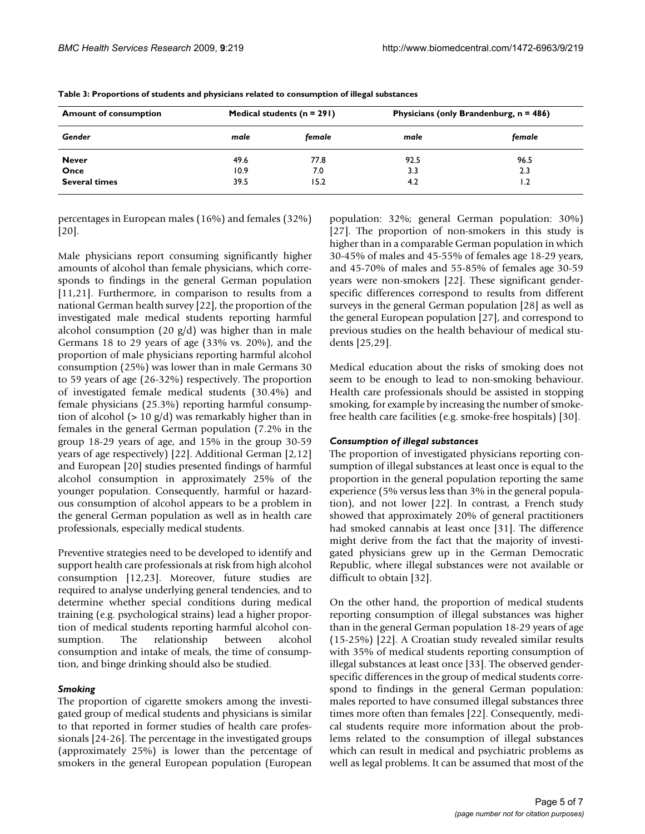| <b>Amount of consumption</b><br>Gender | Medical students ( $n = 291$ ) |        | Physicians (only Brandenburg, n = 486) |        |
|----------------------------------------|--------------------------------|--------|----------------------------------------|--------|
|                                        | male                           | female | male                                   | female |
| <b>Never</b>                           | 49.6                           | 77.8   | 92.5                                   | 96.5   |
| Once                                   | 10.9                           | 7.0    | 3.3                                    | 2.3    |
| <b>Several times</b>                   | 39.5                           | 15.2   | 4.2                                    | 1.2    |

**Table 3: Proportions of students and physicians related to consumption of illegal substances**

percentages in European males (16%) and females (32%) [20].

Male physicians report consuming significantly higher amounts of alcohol than female physicians, which corresponds to findings in the general German population [11,21]. Furthermore, in comparison to results from a national German health survey [22], the proportion of the investigated male medical students reporting harmful alcohol consumption (20  $g/d$ ) was higher than in male Germans 18 to 29 years of age (33% vs. 20%), and the proportion of male physicians reporting harmful alcohol consumption (25%) was lower than in male Germans 30 to 59 years of age (26-32%) respectively. The proportion of investigated female medical students (30.4%) and female physicians (25.3%) reporting harmful consumption of alcohol (> 10 g/d) was remarkably higher than in females in the general German population (7.2% in the group 18-29 years of age, and 15% in the group 30-59 years of age respectively) [22]. Additional German [2,12] and European [20] studies presented findings of harmful alcohol consumption in approximately 25% of the younger population. Consequently, harmful or hazardous consumption of alcohol appears to be a problem in the general German population as well as in health care professionals, especially medical students.

Preventive strategies need to be developed to identify and support health care professionals at risk from high alcohol consumption [12,23]. Moreover, future studies are required to analyse underlying general tendencies, and to determine whether special conditions during medical training (e.g. psychological strains) lead a higher proportion of medical students reporting harmful alcohol consumption. The relationship between alcohol consumption and intake of meals, the time of consumption, and binge drinking should also be studied.

# *Smoking*

The proportion of cigarette smokers among the investigated group of medical students and physicians is similar to that reported in former studies of health care professionals [24-26]. The percentage in the investigated groups (approximately 25%) is lower than the percentage of smokers in the general European population (European

population: 32%; general German population: 30%) [27]. The proportion of non-smokers in this study is higher than in a comparable German population in which 30-45% of males and 45-55% of females age 18-29 years, and 45-70% of males and 55-85% of females age 30-59 years were non-smokers [22]. These significant genderspecific differences correspond to results from different surveys in the general German population [28] as well as the general European population [27], and correspond to previous studies on the health behaviour of medical students [25,29].

Medical education about the risks of smoking does not seem to be enough to lead to non-smoking behaviour. Health care professionals should be assisted in stopping smoking, for example by increasing the number of smokefree health care facilities (e.g. smoke-free hospitals) [30].

# *Consumption of illegal substances*

The proportion of investigated physicians reporting consumption of illegal substances at least once is equal to the proportion in the general population reporting the same experience (5% versus less than 3% in the general population), and not lower [22]. In contrast, a French study showed that approximately 20% of general practitioners had smoked cannabis at least once [31]. The difference might derive from the fact that the majority of investigated physicians grew up in the German Democratic Republic, where illegal substances were not available or difficult to obtain [32].

On the other hand, the proportion of medical students reporting consumption of illegal substances was higher than in the general German population 18-29 years of age (15-25%) [22]. A Croatian study revealed similar results with 35% of medical students reporting consumption of illegal substances at least once [33]. The observed genderspecific differences in the group of medical students correspond to findings in the general German population: males reported to have consumed illegal substances three times more often than females [22]. Consequently, medical students require more information about the problems related to the consumption of illegal substances which can result in medical and psychiatric problems as well as legal problems. It can be assumed that most of the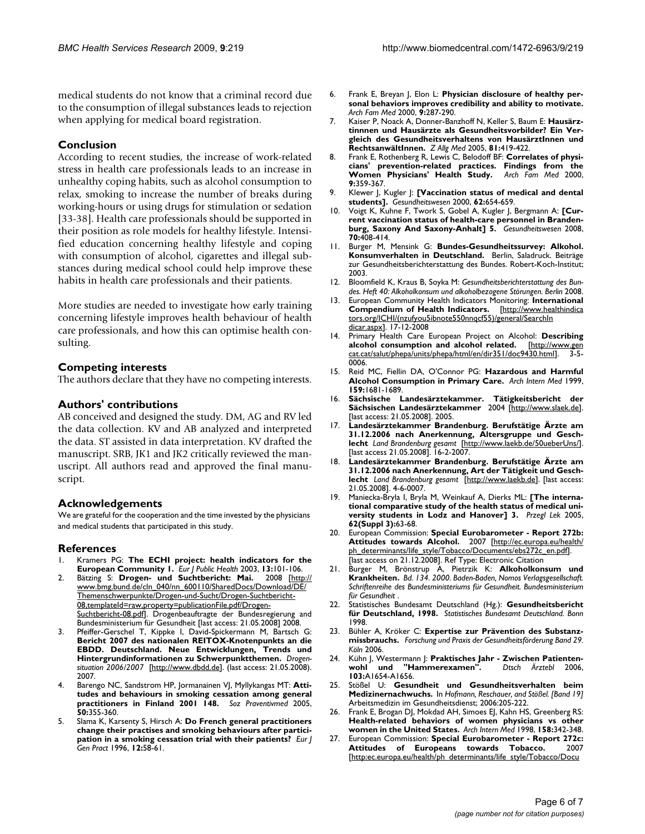medical students do not know that a criminal record due to the consumption of illegal substances leads to rejection when applying for medical board registration.

# **Conclusion**

According to recent studies, the increase of work-related stress in health care professionals leads to an increase in unhealthy coping habits, such as alcohol consumption to relax, smoking to increase the number of breaks during working-hours or using drugs for stimulation or sedation [33-38]. Health care professionals should be supported in their position as role models for healthy lifestyle. Intensified education concerning healthy lifestyle and coping with consumption of alcohol, cigarettes and illegal substances during medical school could help improve these habits in health care professionals and their patients.

More studies are needed to investigate how early training concerning lifestyle improves health behaviour of health care professionals, and how this can optimise health consulting.

# **Competing interests**

The authors declare that they have no competing interests.

# **Authors' contributions**

AB conceived and designed the study. DM, AG and RV led the data collection. KV and AB analyzed and interpreted the data. ST assisted in data interpretation. KV drafted the manuscript. SRB, JK1 and JK2 critically reviewed the manuscript. All authors read and approved the final manuscript.

# **Acknowledgements**

We are grateful for the cooperation and the time invested by the physicians and medical students that participated in this study.

# **References**

- 1. Kramers PG: **[The ECHI project: health indicators for the](http://www.ncbi.nlm.nih.gov/entrez/query.fcgi?cmd=Retrieve&db=PubMed&dopt=Abstract&list_uids=14533758)**
- **[European Community 1.](http://www.ncbi.nlm.nih.gov/entrez/query.fcgi?cmd=Retrieve&db=PubMed&dopt=Abstract&list_uids=14533758)** *Eur J Public Health* 2003, **13:**101-106. 2. Bätzing S: Drogen- und Suchtbericht: Mai. [www.bmg.bund.de/cln\\_040/nn\\_600110/SharedDocs/Download/DE/](http://www.bmg.bund.de/cln_040/nn_600110/SharedDocs/Download/DE/Themenschwerpunkte/Drogen-und-Sucht/Drogen-Suchtbericht-08,templateId=raw,property=publicationFile.pdf/Drogen-Suchtbericht-08.pdf) Themenschwerpunkte/Drogen-und-Sucht/Drogen-Suchtbericht-08,templateId=raw.property=publicationFile.pdf/Drogen-[Suchtbericht-08.pdf](http://www.bmg.bund.de/cln_040/nn_600110/SharedDocs/Download/DE/Themenschwerpunkte/Drogen-und-Sucht/Drogen-Suchtbericht-08,templateId=raw,property=publicationFile.pdf/Drogen-Suchtbericht-08.pdf)l. Drogenbeauftragte der Bundesregierung and Bundesministerium für Gesundheit [last access: 21.05.2008] 2008.
- 3. Pfeiffer-Gerschel T, Kippke I, David-Spickermann M, Bartsch G: **Bericht 2007 des nationalen REITOX-Knotenpunkts an die EBDD. Deutschland. Neue Entwicklungen, Trends und Hintergrundinformationen zu Schwerpunktthemen.** *Drogensituation 2006/2007* [\[http://www.dbdd.de\]](http://www.dbdd.de). (last access: 21.05.2008). 2007.
- Barengo NC, Sandstrom HP, Jormanainen VJ, Myllykangas MT: [Atti](http://www.ncbi.nlm.nih.gov/entrez/query.fcgi?cmd=Retrieve&db=PubMed&dopt=Abstract&list_uids=16398097)**[tudes and behaviours in smoking cessation among general](http://www.ncbi.nlm.nih.gov/entrez/query.fcgi?cmd=Retrieve&db=PubMed&dopt=Abstract&list_uids=16398097) [practitioners in Finland 2001 148.](http://www.ncbi.nlm.nih.gov/entrez/query.fcgi?cmd=Retrieve&db=PubMed&dopt=Abstract&list_uids=16398097)** *Soz Praventivmed* 2005, **50:**355-360.
- 5. Slama K, Karsenty S, Hirsch A: **Do French general practitioners change their practises and smoking behaviours after participation in a smoking cessation trial with their patients?** *Eur J Gen Pract* 1996, **12:**58-61.
- 6. Frank E, Breyan J, Elon L: **[Physician disclosure of healthy per](http://www.ncbi.nlm.nih.gov/entrez/query.fcgi?cmd=Retrieve&db=PubMed&dopt=Abstract&list_uids=10728118)[sonal behaviors improves credibility and ability to motivate.](http://www.ncbi.nlm.nih.gov/entrez/query.fcgi?cmd=Retrieve&db=PubMed&dopt=Abstract&list_uids=10728118)** *Arch Fam Med* 2000, **9:**287-290.
- 7. Kaiser P, Noack A, Donner-Banzhoff N, Keller S, Baum E: **Hausärztinnnen und Hausärzte als Gesundheitsvorbilder? Ein Vergleich des Gesundheitsverhaltens von HausärztInnen und RechtsanwältInnen.** *Z Allg Med* 2005, **81:**419-422.
- 8. Frank E, Rothenberg R, Lewis C, Belodoff BF: **[Correlates of physi](http://www.ncbi.nlm.nih.gov/entrez/query.fcgi?cmd=Retrieve&db=PubMed&dopt=Abstract&list_uids=10776365)[cians' prevention-related practices. Findings from the](http://www.ncbi.nlm.nih.gov/entrez/query.fcgi?cmd=Retrieve&db=PubMed&dopt=Abstract&list_uids=10776365) [Women Physicians' Health Study.](http://www.ncbi.nlm.nih.gov/entrez/query.fcgi?cmd=Retrieve&db=PubMed&dopt=Abstract&list_uids=10776365)** *Arch Fam Med* 2000, **9:**359-367.
- 9. Klewer J, Kugler J: **[\[Vaccination status of medical and dental](http://www.ncbi.nlm.nih.gov/entrez/query.fcgi?cmd=Retrieve&db=PubMed&dopt=Abstract&list_uids=11199201) [students\].](http://www.ncbi.nlm.nih.gov/entrez/query.fcgi?cmd=Retrieve&db=PubMed&dopt=Abstract&list_uids=11199201)** *Gesundheitswesen* 2000, **62:**654-659.
- 10. Voigt K, Kuhne F, Twork S, Gobel A, Kugler J, Bergmann A: **[\[Cur](http://www.ncbi.nlm.nih.gov/entrez/query.fcgi?cmd=Retrieve&db=PubMed&dopt=Abstract&list_uids=18729030)[rent vaccination status of health-care personnel in Branden](http://www.ncbi.nlm.nih.gov/entrez/query.fcgi?cmd=Retrieve&db=PubMed&dopt=Abstract&list_uids=18729030)[burg, Saxony And Saxony-Anhalt\] 5.](http://www.ncbi.nlm.nih.gov/entrez/query.fcgi?cmd=Retrieve&db=PubMed&dopt=Abstract&list_uids=18729030)** *Gesundheitswesen* 2008, **70:**408-414.
- 11. Burger M, Mensink G: **Bundes-Gesundheitssurvey: Alkohol. Konsumverhalten in Deutschland.** Berlin, Saladruck. Beiträge zur Gesundheitsberichterstattung des Bundes. Robert-Koch-Institut; 2003.
- 12. Bloomfield K, Kraus B, Soyka M: *Gesundheitsberichterstattung des Bundes. Heft 40: Alkoholkonsum und alkoholbezogene Störungen. Berlin* 2008.
- 13. European Community Health Indicators Monitoring: **International Compendium of Health Indicators.** [tors.org/ICHI/\(nzufyou5ibnote550nnqcf55\)/general/SearchIn](http://www.healthindicators.org/ICHI/(nzufyou5ibnote550nnqcf55)/general/SearchIndicator.aspx) [dicar.aspx](http://www.healthindicators.org/ICHI/(nzufyou5ibnote550nnqcf55)/general/SearchIndicator.aspx)]. 17-12-2008
- 14. Primary Health Care European Project on Alcohol: **Describing alcohol consumption and alcohol related.** [\[http://www.gen](http://www.gencat.cat/salut/phepa/units/phepa/html/en/dir351/doc9430.html) [cat.cat/salut/phepa/units/phepa/html/en/dir351/doc9430.html\]](http://www.gencat.cat/salut/phepa/units/phepa/html/en/dir351/doc9430.html). 3-5- 0006.
- 15. Reid MC, Fiellin DA, O'Connor PG: **[Hazardous and Harmful](http://www.ncbi.nlm.nih.gov/entrez/query.fcgi?cmd=Retrieve&db=PubMed&dopt=Abstract&list_uids=10448769) [Alcohol Consumption in Primary Care.](http://www.ncbi.nlm.nih.gov/entrez/query.fcgi?cmd=Retrieve&db=PubMed&dopt=Abstract&list_uids=10448769)** *Arch Intern Med* 1999, **159:**1681-1689.
- 16. **Sächsische Landesärztekammer. Tätigkeitsbericht der Sächsischen Landesärztekammer** 2004 [[http://www.slaek.de\]](http://www.slaek.de). [last access: 21.05.2008]. 2005.
- 17. **Landesärztekammer Brandenburg. Berufstätige Ärzte am 31.12.2006 nach Anerkennung, Altersgruppe und Geschlecht** *Land Brandenburg gesamt* [[http://www.laekb.de/50ueberUns/\]](http://www.laekb.de/50ueberUns/). [last access 21.05.2008]. 16-2-2007.
- 18. **Landesärztekammer Brandenburg. Berufstätige Ärzte am 31.12.2006 nach Anerkennung, Art der Tätigkeit und Geschlecht** *Land Brandenburg gesamt* [\[http://www.laekb.de](http://www.laekb.de)]. [last access: 21.05.2008]. 4-6-0007.
- 19. Maniecka-Bryla I, Bryla M, Weinkauf A, Dierks ML: **[\[The interna](http://www.ncbi.nlm.nih.gov/entrez/query.fcgi?cmd=Retrieve&db=PubMed&dopt=Abstract&list_uids=16521923)[tional comparative study of the health status of medical uni](http://www.ncbi.nlm.nih.gov/entrez/query.fcgi?cmd=Retrieve&db=PubMed&dopt=Abstract&list_uids=16521923)[versity students in Lodz and Hanover\] 3.](http://www.ncbi.nlm.nih.gov/entrez/query.fcgi?cmd=Retrieve&db=PubMed&dopt=Abstract&list_uids=16521923)** *Przegl Lek* 2005, **62(Suppl 3):**63-68.
- 20. European Commission: **Special Eurobarometer Report 272b: Attitudes towards Alcohol.** 2007 [[http://ec.europa.eu/health/](http://ec.europa.eu/health/ph_determinants/life_style/Tobacco/Documents/ebs272c_en.pdf) [ph\\_determinants/life\\_style/Tobacco/Documents/ebs272c\\_en.pdf\]](http://ec.europa.eu/health/ph_determinants/life_style/Tobacco/Documents/ebs272c_en.pdf). [last access on 21.12.2008]. Ref Type: Electronic Citation
- 21. Burger M, Brönstrup A, Pietrzik K: **Alkoholkonsum und Krankheiten.** *Bd. 134. 2000. Baden-Baden, Nomos Verlagsgesellschaft. Schriftenreihe des Bundesministeriums für Gesundheit. Bundesministerium für Gesundheit* .
- 22. Statistisches Bundesamt Deutschland (Hg.): **Gesundheitsbericht für Deutschland, 1998.** *Statistisches Bundesamt Deutschland. Bonn* 1998.
- 23. Bühler A, Kröker C: **Expertise zur Prävention des Substanzmissbrauchs.** *Forschung und Praxis der Gesundheitsförderung Band 29. Köln* 2006.
- 24. Kühn J, Westermann J: **Praktisches Jahr Zwischen Patienten-**<br>**wohl und "Hammerexamen".** Dtsch Ärztebl 2006, "Hammerexamen". **103:**A1654-A1656.
- 25. Stößel U: **Gesundheit und Gesundheitsverhalten beim Medizinernachwuchs.** In *Hofmann, Reschauer, and Stößel. [Band 19]* Arbeitsmedizin im Gesundheitsdienst; 2006:205-222.
- 26. Frank E, Brogan DJ, Mokdad AH, Simoes EJ, Kahn HS, Greenberg RS: **[Health-related behaviors of women physicians vs other](http://www.ncbi.nlm.nih.gov/entrez/query.fcgi?cmd=Retrieve&db=PubMed&dopt=Abstract&list_uids=9487231) [women in the United States.](http://www.ncbi.nlm.nih.gov/entrez/query.fcgi?cmd=Retrieve&db=PubMed&dopt=Abstract&list_uids=9487231)** *Arch Intern Med* 1998, **158:**342-348.
- 27. European Commission: **Special Eurobarometer Report 272c:** Attitudes of Europeans towards Tobacco. [[http:ec.europa.eu/health/ph\\_determinants/life\\_style/Tobacco/Docu](http://ec.europa.eu/health/ph_determinants/life_style/Tobacco/Documents/ebs272c_en.pdf)